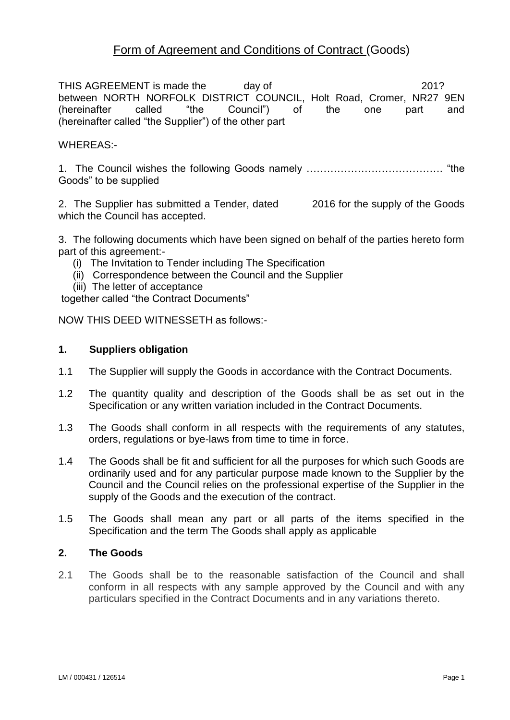# Form of Agreement and Conditions of Contract (Goods)

THIS AGREEMENT is made the day of  $201$ ? between NORTH NORFOLK DISTRICT COUNCIL, Holt Road, Cromer, NR27 9EN (hereinafter called "the Council") of the one part and (hereinafter called "the Supplier") of the other part

### WHEREAS:-

1. The Council wishes the following Goods namely …………………………………. "the Goods" to be supplied

2. The Supplier has submitted a Tender, dated 2016 for the supply of the Goods which the Council has accepted.

3. The following documents which have been signed on behalf of the parties hereto form part of this agreement:-

- (i) The Invitation to Tender including The Specification
- (ii) Correspondence between the Council and the Supplier
- (iii) The letter of acceptance

together called "the Contract Documents"

NOW THIS DEED WITNESSETH as follows:-

#### **1. Suppliers obligation**

- 1.1 The Supplier will supply the Goods in accordance with the Contract Documents.
- 1.2 The quantity quality and description of the Goods shall be as set out in the Specification or any written variation included in the Contract Documents.
- 1.3 The Goods shall conform in all respects with the requirements of any statutes, orders, regulations or bye-laws from time to time in force.
- 1.4 The Goods shall be fit and sufficient for all the purposes for which such Goods are ordinarily used and for any particular purpose made known to the Supplier by the Council and the Council relies on the professional expertise of the Supplier in the supply of the Goods and the execution of the contract.
- 1.5 The Goods shall mean any part or all parts of the items specified in the Specification and the term The Goods shall apply as applicable

### **2. The Goods**

2.1 The Goods shall be to the reasonable satisfaction of the Council and shall conform in all respects with any sample approved by the Council and with any particulars specified in the Contract Documents and in any variations thereto.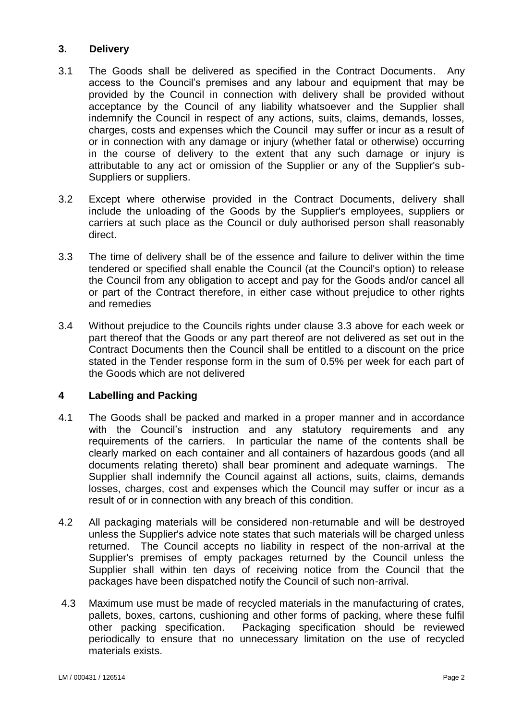### **3. Delivery**

- 3.1 The Goods shall be delivered as specified in the Contract Documents. Any access to the Council's premises and any labour and equipment that may be provided by the Council in connection with delivery shall be provided without acceptance by the Council of any liability whatsoever and the Supplier shall indemnify the Council in respect of any actions, suits, claims, demands, losses, charges, costs and expenses which the Council may suffer or incur as a result of or in connection with any damage or injury (whether fatal or otherwise) occurring in the course of delivery to the extent that any such damage or injury is attributable to any act or omission of the Supplier or any of the Supplier's sub-Suppliers or suppliers.
- 3.2 Except where otherwise provided in the Contract Documents, delivery shall include the unloading of the Goods by the Supplier's employees, suppliers or carriers at such place as the Council or duly authorised person shall reasonably direct.
- 3.3 The time of delivery shall be of the essence and failure to deliver within the time tendered or specified shall enable the Council (at the Council's option) to release the Council from any obligation to accept and pay for the Goods and/or cancel all or part of the Contract therefore, in either case without prejudice to other rights and remedies
- 3.4 Without prejudice to the Councils rights under clause 3.3 above for each week or part thereof that the Goods or any part thereof are not delivered as set out in the Contract Documents then the Council shall be entitled to a discount on the price stated in the Tender response form in the sum of 0.5% per week for each part of the Goods which are not delivered

### **4 Labelling and Packing**

- 4.1 The Goods shall be packed and marked in a proper manner and in accordance with the Council's instruction and any statutory requirements and any requirements of the carriers. In particular the name of the contents shall be clearly marked on each container and all containers of hazardous goods (and all documents relating thereto) shall bear prominent and adequate warnings. The Supplier shall indemnify the Council against all actions, suits, claims, demands losses, charges, cost and expenses which the Council may suffer or incur as a result of or in connection with any breach of this condition.
- 4.2 All packaging materials will be considered non-returnable and will be destroyed unless the Supplier's advice note states that such materials will be charged unless returned. The Council accepts no liability in respect of the non-arrival at the Supplier's premises of empty packages returned by the Council unless the Supplier shall within ten days of receiving notice from the Council that the packages have been dispatched notify the Council of such non-arrival.
- 4.3 Maximum use must be made of recycled materials in the manufacturing of crates, pallets, boxes, cartons, cushioning and other forms of packing, where these fulfil other packing specification. Packaging specification should be reviewed periodically to ensure that no unnecessary limitation on the use of recycled materials exists.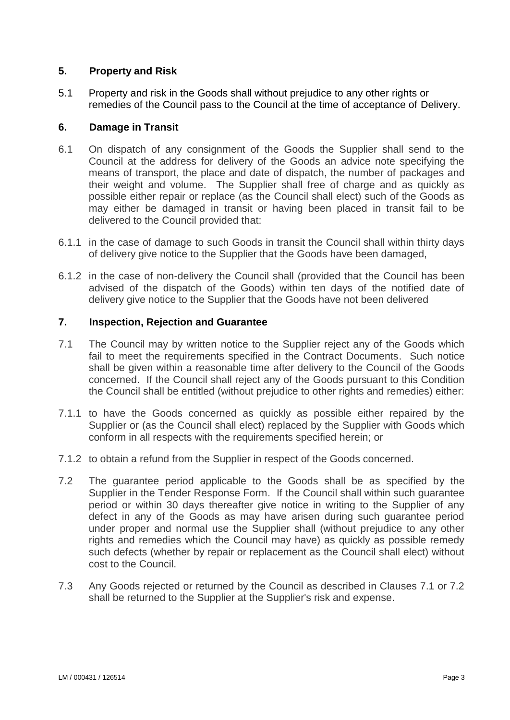## **5. Property and Risk**

5.1 Property and risk in the Goods shall without prejudice to any other rights or remedies of the Council pass to the Council at the time of acceptance of Delivery.

### **6. Damage in Transit**

- 6.1 On dispatch of any consignment of the Goods the Supplier shall send to the Council at the address for delivery of the Goods an advice note specifying the means of transport, the place and date of dispatch, the number of packages and their weight and volume. The Supplier shall free of charge and as quickly as possible either repair or replace (as the Council shall elect) such of the Goods as may either be damaged in transit or having been placed in transit fail to be delivered to the Council provided that:
- 6.1.1 in the case of damage to such Goods in transit the Council shall within thirty days of delivery give notice to the Supplier that the Goods have been damaged,
- 6.1.2 in the case of non-delivery the Council shall (provided that the Council has been advised of the dispatch of the Goods) within ten days of the notified date of delivery give notice to the Supplier that the Goods have not been delivered

#### **7. Inspection, Rejection and Guarantee**

- 7.1 The Council may by written notice to the Supplier reject any of the Goods which fail to meet the requirements specified in the Contract Documents. Such notice shall be given within a reasonable time after delivery to the Council of the Goods concerned. If the Council shall reject any of the Goods pursuant to this Condition the Council shall be entitled (without prejudice to other rights and remedies) either:
- 7.1.1 to have the Goods concerned as quickly as possible either repaired by the Supplier or (as the Council shall elect) replaced by the Supplier with Goods which conform in all respects with the requirements specified herein; or
- 7.1.2 to obtain a refund from the Supplier in respect of the Goods concerned.
- 7.2 The guarantee period applicable to the Goods shall be as specified by the Supplier in the Tender Response Form. If the Council shall within such guarantee period or within 30 days thereafter give notice in writing to the Supplier of any defect in any of the Goods as may have arisen during such guarantee period under proper and normal use the Supplier shall (without prejudice to any other rights and remedies which the Council may have) as quickly as possible remedy such defects (whether by repair or replacement as the Council shall elect) without cost to the Council.
- 7.3 Any Goods rejected or returned by the Council as described in Clauses 7.1 or 7.2 shall be returned to the Supplier at the Supplier's risk and expense.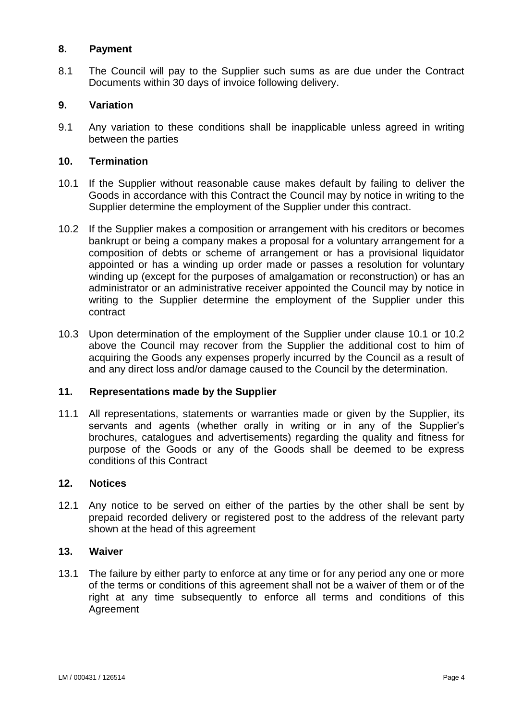### **8. Payment**

8.1 The Council will pay to the Supplier such sums as are due under the Contract Documents within 30 days of invoice following delivery.

### **9. Variation**

9.1 Any variation to these conditions shall be inapplicable unless agreed in writing between the parties

### **10. Termination**

- 10.1 If the Supplier without reasonable cause makes default by failing to deliver the Goods in accordance with this Contract the Council may by notice in writing to the Supplier determine the employment of the Supplier under this contract.
- 10.2 If the Supplier makes a composition or arrangement with his creditors or becomes bankrupt or being a company makes a proposal for a voluntary arrangement for a composition of debts or scheme of arrangement or has a provisional liquidator appointed or has a winding up order made or passes a resolution for voluntary winding up (except for the purposes of amalgamation or reconstruction) or has an administrator or an administrative receiver appointed the Council may by notice in writing to the Supplier determine the employment of the Supplier under this contract
- 10.3 Upon determination of the employment of the Supplier under clause 10.1 or 10.2 above the Council may recover from the Supplier the additional cost to him of acquiring the Goods any expenses properly incurred by the Council as a result of and any direct loss and/or damage caused to the Council by the determination.

### **11. Representations made by the Supplier**

11.1 All representations, statements or warranties made or given by the Supplier, its servants and agents (whether orally in writing or in any of the Supplier's brochures, catalogues and advertisements) regarding the quality and fitness for purpose of the Goods or any of the Goods shall be deemed to be express conditions of this Contract

#### **12. Notices**

12.1 Any notice to be served on either of the parties by the other shall be sent by prepaid recorded delivery or registered post to the address of the relevant party shown at the head of this agreement

### **13. Waiver**

13.1 The failure by either party to enforce at any time or for any period any one or more of the terms or conditions of this agreement shall not be a waiver of them or of the right at any time subsequently to enforce all terms and conditions of this Agreement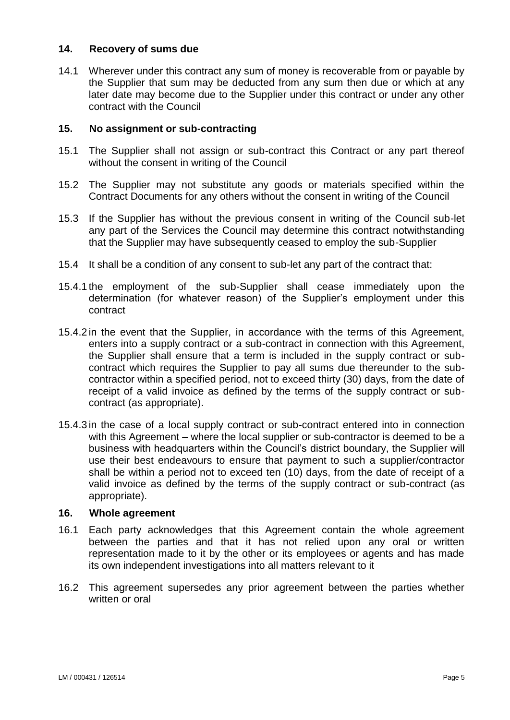### **14. Recovery of sums due**

14.1 Wherever under this contract any sum of money is recoverable from or payable by the Supplier that sum may be deducted from any sum then due or which at any later date may become due to the Supplier under this contract or under any other contract with the Council

#### **15. No assignment or sub-contracting**

- 15.1 The Supplier shall not assign or sub-contract this Contract or any part thereof without the consent in writing of the Council
- 15.2 The Supplier may not substitute any goods or materials specified within the Contract Documents for any others without the consent in writing of the Council
- 15.3 If the Supplier has without the previous consent in writing of the Council sub-let any part of the Services the Council may determine this contract notwithstanding that the Supplier may have subsequently ceased to employ the sub-Supplier
- 15.4 It shall be a condition of any consent to sub-let any part of the contract that:
- 15.4.1 the employment of the sub-Supplier shall cease immediately upon the determination (for whatever reason) of the Supplier's employment under this contract
- 15.4.2 in the event that the Supplier, in accordance with the terms of this Agreement, enters into a supply contract or a sub-contract in connection with this Agreement, the Supplier shall ensure that a term is included in the supply contract or subcontract which requires the Supplier to pay all sums due thereunder to the subcontractor within a specified period, not to exceed thirty (30) days, from the date of receipt of a valid invoice as defined by the terms of the supply contract or subcontract (as appropriate).
- 15.4.3 in the case of a local supply contract or sub-contract entered into in connection with this Agreement – where the local supplier or sub-contractor is deemed to be a business with headquarters within the Council's district boundary, the Supplier will use their best endeavours to ensure that payment to such a supplier/contractor shall be within a period not to exceed ten (10) days, from the date of receipt of a valid invoice as defined by the terms of the supply contract or sub-contract (as appropriate).

#### **16. Whole agreement**

- 16.1 Each party acknowledges that this Agreement contain the whole agreement between the parties and that it has not relied upon any oral or written representation made to it by the other or its employees or agents and has made its own independent investigations into all matters relevant to it
- 16.2 This agreement supersedes any prior agreement between the parties whether written or oral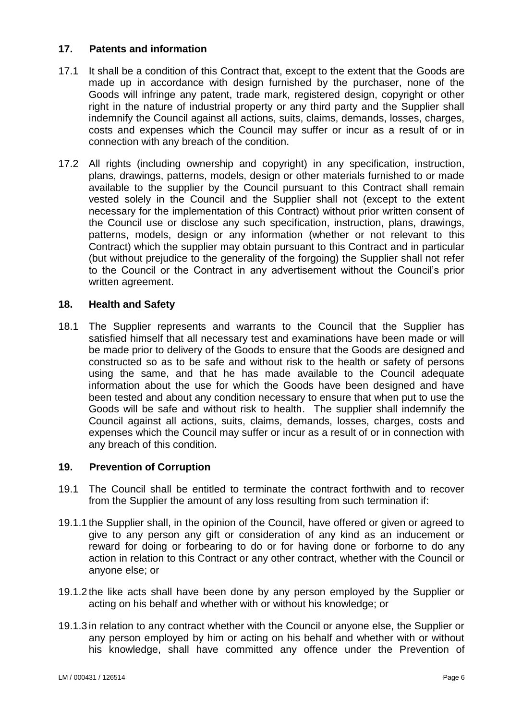### **17. Patents and information**

- 17.1 It shall be a condition of this Contract that, except to the extent that the Goods are made up in accordance with design furnished by the purchaser, none of the Goods will infringe any patent, trade mark, registered design, copyright or other right in the nature of industrial property or any third party and the Supplier shall indemnify the Council against all actions, suits, claims, demands, losses, charges, costs and expenses which the Council may suffer or incur as a result of or in connection with any breach of the condition.
- 17.2 All rights (including ownership and copyright) in any specification, instruction, plans, drawings, patterns, models, design or other materials furnished to or made available to the supplier by the Council pursuant to this Contract shall remain vested solely in the Council and the Supplier shall not (except to the extent necessary for the implementation of this Contract) without prior written consent of the Council use or disclose any such specification, instruction, plans, drawings, patterns, models, design or any information (whether or not relevant to this Contract) which the supplier may obtain pursuant to this Contract and in particular (but without prejudice to the generality of the forgoing) the Supplier shall not refer to the Council or the Contract in any advertisement without the Council's prior written agreement.

#### **18. Health and Safety**

18.1 The Supplier represents and warrants to the Council that the Supplier has satisfied himself that all necessary test and examinations have been made or will be made prior to delivery of the Goods to ensure that the Goods are designed and constructed so as to be safe and without risk to the health or safety of persons using the same, and that he has made available to the Council adequate information about the use for which the Goods have been designed and have been tested and about any condition necessary to ensure that when put to use the Goods will be safe and without risk to health. The supplier shall indemnify the Council against all actions, suits, claims, demands, losses, charges, costs and expenses which the Council may suffer or incur as a result of or in connection with any breach of this condition.

#### **19. Prevention of Corruption**

- 19.1 The Council shall be entitled to terminate the contract forthwith and to recover from the Supplier the amount of any loss resulting from such termination if:
- 19.1.1 the Supplier shall, in the opinion of the Council, have offered or given or agreed to give to any person any gift or consideration of any kind as an inducement or reward for doing or forbearing to do or for having done or forborne to do any action in relation to this Contract or any other contract, whether with the Council or anyone else; or
- 19.1.2 the like acts shall have been done by any person employed by the Supplier or acting on his behalf and whether with or without his knowledge; or
- 19.1.3 in relation to any contract whether with the Council or anyone else, the Supplier or any person employed by him or acting on his behalf and whether with or without his knowledge, shall have committed any offence under the Prevention of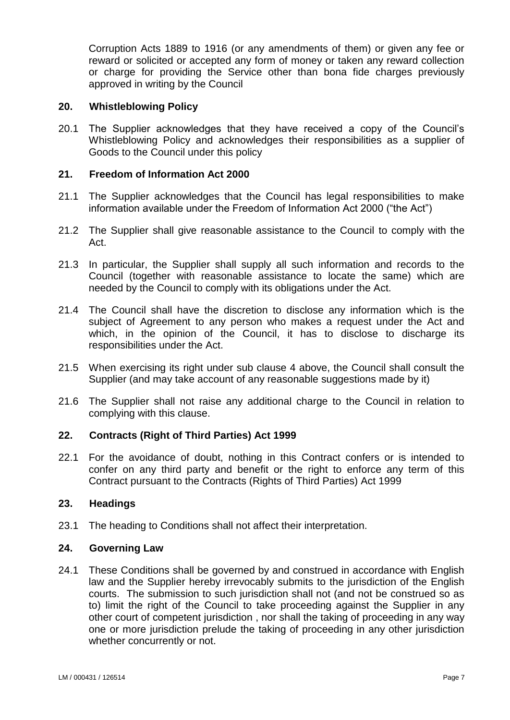Corruption Acts 1889 to 1916 (or any amendments of them) or given any fee or reward or solicited or accepted any form of money or taken any reward collection or charge for providing the Service other than bona fide charges previously approved in writing by the Council

#### **20. Whistleblowing Policy**

20.1 The Supplier acknowledges that they have received a copy of the Council's Whistleblowing Policy and acknowledges their responsibilities as a supplier of Goods to the Council under this policy

### **21. Freedom of Information Act 2000**

- 21.1 The Supplier acknowledges that the Council has legal responsibilities to make information available under the Freedom of Information Act 2000 ("the Act")
- 21.2 The Supplier shall give reasonable assistance to the Council to comply with the Act.
- 21.3 In particular, the Supplier shall supply all such information and records to the Council (together with reasonable assistance to locate the same) which are needed by the Council to comply with its obligations under the Act.
- 21.4 The Council shall have the discretion to disclose any information which is the subject of Agreement to any person who makes a request under the Act and which, in the opinion of the Council, it has to disclose to discharge its responsibilities under the Act.
- 21.5 When exercising its right under sub clause 4 above, the Council shall consult the Supplier (and may take account of any reasonable suggestions made by it)
- 21.6 The Supplier shall not raise any additional charge to the Council in relation to complying with this clause.

### **22. Contracts (Right of Third Parties) Act 1999**

22.1 For the avoidance of doubt, nothing in this Contract confers or is intended to confer on any third party and benefit or the right to enforce any term of this Contract pursuant to the Contracts (Rights of Third Parties) Act 1999

#### **23. Headings**

23.1 The heading to Conditions shall not affect their interpretation.

### **24. Governing Law**

24.1 These Conditions shall be governed by and construed in accordance with English law and the Supplier hereby irrevocably submits to the jurisdiction of the English courts. The submission to such jurisdiction shall not (and not be construed so as to) limit the right of the Council to take proceeding against the Supplier in any other court of competent jurisdiction , nor shall the taking of proceeding in any way one or more jurisdiction prelude the taking of proceeding in any other jurisdiction whether concurrently or not.